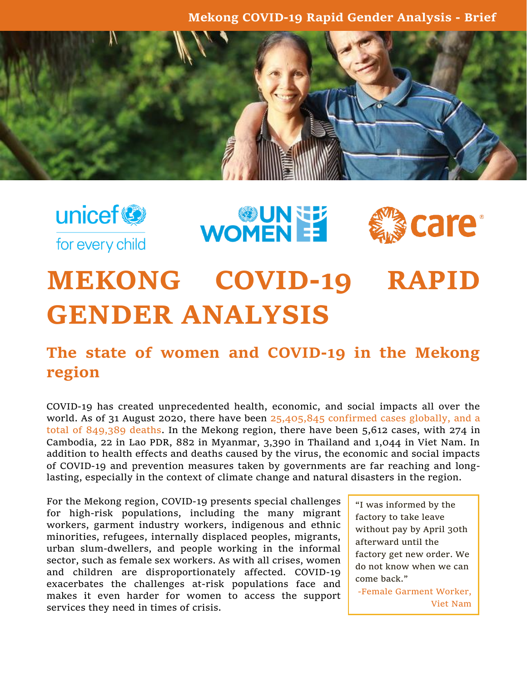**Mekong COVID-19 Rapid Gender Analysis - Brief**



unicef<sup>®</sup> for every child **WOMENEE** 



## **MEKONG COVID-19 RAPID GENDER ANALYSIS**

## **The state of women and COVID-19 in the Mekong region**

COVID-19 has created unprecedented health, economic, and social impacts all over the world. As of 31 August 2020, there have been [25,405,845 confirmed cases](https://www.worldometers.info/coronavirus/) globally, and a total of 849,389 deaths. In the Mekong region, there have been 5,612 cases, with 274 in Cambodia, 22 in Lao PDR, 882 in Myanmar, 3,390 in Thailand and 1,044 in Viet Nam. In addition to health effects and deaths caused by the virus, the economic and social impacts of COVID-19 and prevention measures taken by governments are far reaching and longlasting, especially in the context of climate change and natural disasters in the region.

For the Mekong region, COVID-19 presents special challenges for high-risk populations, including the many migrant workers, garment industry workers, indigenous and ethnic minorities, refugees, internally displaced peoples, migrants, urban slum-dwellers, and people working in the informal sector, such as female sex workers. As with all crises, women and children are disproportionately affected. COVID-19 exacerbates the challenges at-risk populations face and makes it even harder for women to access the support services they need in times of crisis.

"I was informed by the factory to take leave without pay by April 30th afterward until the factory get new order. We do not know when we can come back."

-Female Garment Worker, Viet Nam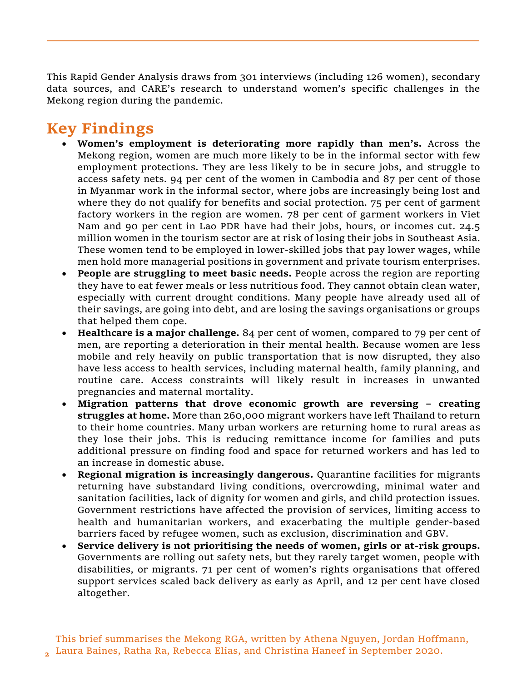This Rapid Gender Analysis draws from 301 interviews (including 126 women), secondary data sources, and CARE's research to understand women's specific challenges in the Mekong region during the pandemic.

## **Key Findings**

- **Women's employment is deteriorating more rapidly than men's.** Across the Mekong region, women are much more likely to be in the informal sector with few employment protections. They are less likely to be in secure jobs, and struggle to access safety nets. 94 per cent of the women in Cambodia and 87 per cent of those in Myanmar work in the informal sector, where jobs are increasingly being lost and where they do not qualify for benefits and social protection. 75 per cent of garment factory workers in the region are women. 78 per cent of garment workers in Viet Nam and 90 per cent in Lao PDR have had their jobs, hours, or incomes cut. 24.5 million women in the tourism sector are at risk of losing their jobs in Southeast Asia. These women tend to be employed in lower-skilled jobs that pay lower wages, while men hold more managerial positions in government and private tourism enterprises.
- **People are struggling to meet basic needs.** People across the region are reporting they have to eat fewer meals or less nutritious food. They cannot obtain clean water, especially with current drought conditions. Many people have already used all of their savings, are going into debt, and are losing the savings organisations or groups that helped them cope.
- **Healthcare is a major challenge.** 84 per cent of women, compared to 79 per cent of men, are reporting a deterioration in their mental health. Because women are less mobile and rely heavily on public transportation that is now disrupted, they also have less access to health services, including maternal health, family planning, and routine care. Access constraints will likely result in increases in unwanted pregnancies and maternal mortality.
- **Migration patterns that drove economic growth are reversing – creating struggles at home.** More than 260,000 migrant workers have left Thailand to return to their home countries. Many urban workers are returning home to rural areas as they lose their jobs. This is reducing remittance income for families and puts additional pressure on finding food and space for returned workers and has led to an increase in domestic abuse.
- **Regional migration is increasingly dangerous.** Quarantine facilities for migrants returning have substandard living conditions, overcrowding, minimal water and sanitation facilities, lack of dignity for women and girls, and child protection issues. Government restrictions have affected the provision of services, limiting access to health and humanitarian workers, and exacerbating the multiple gender-based barriers faced by refugee women, such as exclusion, discrimination and GBV.
- **Service delivery is not prioritising the needs of women, girls or at-risk groups.** Governments are rolling out safety nets, but they rarely target women, people with disabilities, or migrants. 71 per cent of women's rights organisations that offered support services scaled back delivery as early as April, and 12 per cent have closed altogether.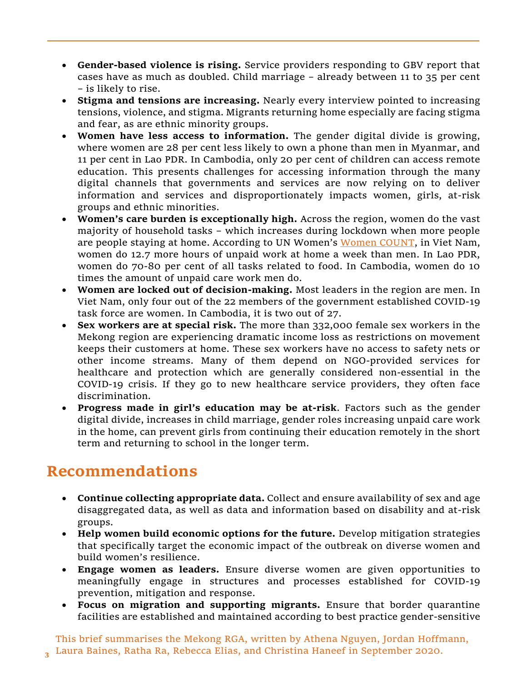- **Gender-based violence is rising.** Service providers responding to GBV report that cases have as much as doubled. Child marriage – already between 11 to 35 per cent – is likely to rise.
- **Stigma and tensions are increasing.** Nearly every interview pointed to increasing tensions, violence, and stigma. Migrants returning home especially are facing stigma and fear, as are ethnic minority groups.
- **Women have less access to information.** The gender digital divide is growing, where women are 28 per cent less likely to own a phone than men in Myanmar, and 11 per cent in Lao PDR. In Cambodia, only 20 per cent of children can access remote education. This presents challenges for accessing information through the many digital channels that governments and services are now relying on to deliver information and services and disproportionately impacts women, girls, at-risk groups and ethnic minorities.
- **Women's care burden is exceptionally high.** Across the region, women do the vast majority of household tasks – which increases during lockdown when more people are people staying at home. According to UN Women's [Women COUNT,](https://data.unwomen.org/COVID19) in Viet Nam, women do 12.7 more hours of unpaid work at home a week than men. In Lao PDR, women do 70-80 per cent of all tasks related to food. In Cambodia, women do 10 times the amount of unpaid care work men do.
- **Women are locked out of decision-making.** Most leaders in the region are men. In Viet Nam, only four out of the 22 members of the government established COVID-19 task force are women. In Cambodia, it is two out of 27.
- **Sex workers are at special risk.** The more than 332,000 female sex workers in the Mekong region are experiencing dramatic income loss as restrictions on movement keeps their customers at home. These sex workers have no access to safety nets or other income streams. Many of them depend on NGO-provided services for healthcare and protection which are generally considered non-essential in the COVID-19 crisis. If they go to new healthcare service providers, they often face discrimination.
- **Progress made in girl's education may be at-risk**. Factors such as the gender digital divide, increases in child marriage, gender roles increasing unpaid care work in the home, can prevent girls from continuing their education remotely in the short term and returning to school in the longer term.

## **Recommendations**

**3**

- **Continue collecting appropriate data.** Collect and ensure availability of sex and age disaggregated data, as well as data and information based on disability and at-risk groups.
- **Help women build economic options for the future.** Develop mitigation strategies that specifically target the economic impact of the outbreak on diverse women and build women's resilience.
- **Engage women as leaders.** Ensure diverse women are given opportunities to meaningfully engage in structures and processes established for COVID-19 prevention, mitigation and response.
- **Focus on migration and supporting migrants.** Ensure that border quarantine facilities are established and maintained according to best practice gender-sensitive

This brief summarises the Mekong RGA, written by Athena Nguyen, Jordan Hoffmann, Laura Baines, Ratha Ra, Rebecca Elias, and Christina Haneef in September 2020.